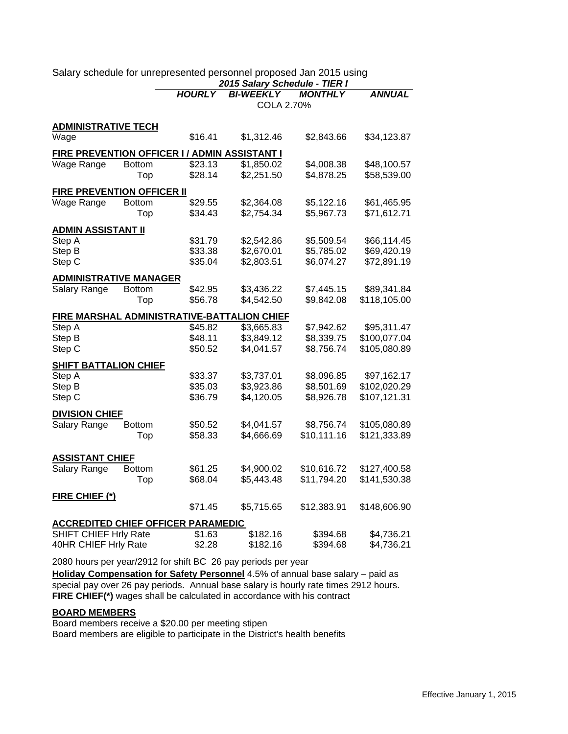|                                                                    |               | <b>HOURLY</b> | <b>BI-WEEKLY</b>                            | <b>MONTHLY</b> | <b>ANNUAL</b> |  |
|--------------------------------------------------------------------|---------------|---------------|---------------------------------------------|----------------|---------------|--|
|                                                                    |               |               | COLA 2.70%                                  |                |               |  |
| <b>ADMINISTRATIVE TECH</b>                                         |               |               |                                             |                |               |  |
| Wage                                                               |               | \$16.41       | \$1,312.46                                  | \$2,843.66     | \$34,123.87   |  |
| FIRE PREVENTION OFFICER I / ADMIN ASSISTANT I                      |               |               |                                             |                |               |  |
| Wage Range                                                         | <b>Bottom</b> | \$23.13       | \$1,850.02                                  | \$4,008.38     | \$48,100.57   |  |
|                                                                    | Top           | \$28.14       | \$2,251.50                                  | \$4,878.25     | \$58,539.00   |  |
| FIRE PREVENTION OFFICER II                                         |               |               |                                             |                |               |  |
| Wage Range                                                         | <b>Bottom</b> | \$29.55       | \$2,364.08                                  | \$5,122.16     | \$61,465.95   |  |
|                                                                    | Top           | \$34.43       | \$2,754.34                                  | \$5,967.73     | \$71,612.71   |  |
| <b>ADMIN ASSISTANT II</b>                                          |               |               |                                             |                |               |  |
| Step A                                                             |               | \$31.79       | \$2,542.86                                  | \$5,509.54     | \$66,114.45   |  |
| Step B                                                             |               | \$33.38       | \$2,670.01                                  | \$5,785.02     | \$69,420.19   |  |
| Step C                                                             |               | \$35.04       | \$2,803.51                                  | \$6,074.27     | \$72,891.19   |  |
| <b>ADMINISTRATIVE MANAGER</b>                                      |               |               |                                             |                |               |  |
| Salary Range                                                       | <b>Bottom</b> | \$42.95       | \$3,436.22                                  | \$7,445.15     | \$89,341.84   |  |
|                                                                    | Top           | \$56.78       | \$4,542.50                                  | \$9,842.08     | \$118,105.00  |  |
|                                                                    |               |               | FIRE MARSHAL ADMINISTRATIVE-BATTALION CHIEF |                |               |  |
| Step A                                                             |               | \$45.82       | \$3,665.83                                  | \$7,942.62     | \$95,311.47   |  |
| Step B                                                             |               | \$48.11       | \$3,849.12                                  | \$8,339.75     | \$100,077.04  |  |
| Step C                                                             |               | \$50.52       | \$4,041.57                                  | \$8,756.74     | \$105,080.89  |  |
| <b>SHIFT BATTALION CHIEF</b>                                       |               |               |                                             |                |               |  |
| Step A                                                             |               | \$33.37       | \$3,737.01                                  | \$8,096.85     | \$97,162.17   |  |
| Step B                                                             |               | \$35.03       | \$3,923.86                                  | \$8,501.69     | \$102,020.29  |  |
| Step C                                                             |               | \$36.79       | \$4,120.05                                  | \$8,926.78     | \$107,121.31  |  |
| <b>DIVISION CHIEF</b>                                              |               |               |                                             |                |               |  |
| Salary Range                                                       | <b>Bottom</b> | \$50.52       | \$4,041.57                                  | \$8,756.74     | \$105,080.89  |  |
|                                                                    | Top           | \$58.33       | \$4,666.69                                  | \$10,111.16    | \$121,333.89  |  |
| <b>ASSISTANT CHIEF</b>                                             |               |               |                                             |                |               |  |
| Salary Range                                                       | <b>Bottom</b> | \$61.25       | \$4,900.02                                  | \$10,616.72    | \$127,400.58  |  |
|                                                                    | Top           | \$68.04       | \$5,443.48                                  | \$11,794.20    | \$141,530.38  |  |
|                                                                    |               |               |                                             |                |               |  |
| <b>FIRE CHIEF (*)</b>                                              |               | \$71.45       | \$5,715.65                                  | \$12,383.91    | \$148,606.90  |  |
|                                                                    |               |               |                                             |                |               |  |
| <b>ACCREDITED CHIEF OFFICER PARAMEDIC</b><br>SHIFT CHIEF Hrly Rate |               | \$1.63        | \$182.16                                    | \$394.68       |               |  |
|                                                                    |               | \$2.28        | \$182.16                                    | \$394.68       | \$4,736.21    |  |
| 40HR CHIEF Hrly Rate                                               |               |               |                                             |                | \$4,736.21    |  |

Salary schedule for unrepresented personnel proposed Jan 2015 using *2015 Salary Schedule - TIER I*

2080 hours per year/2912 for shift BC 26 pay periods per year

**FIRE CHIEF(\*)** wages shall be calculated in accordance with his contract **Holiday Compensation for Safety Personnel** 4.5% of annual base salary – paid as special pay over 26 pay periods. Annual base salary is hourly rate times 2912 hours.

## **BOARD MEMBERS**

Board members receive a \$20.00 per meeting stipen Board members are eligible to participate in the District's health benefits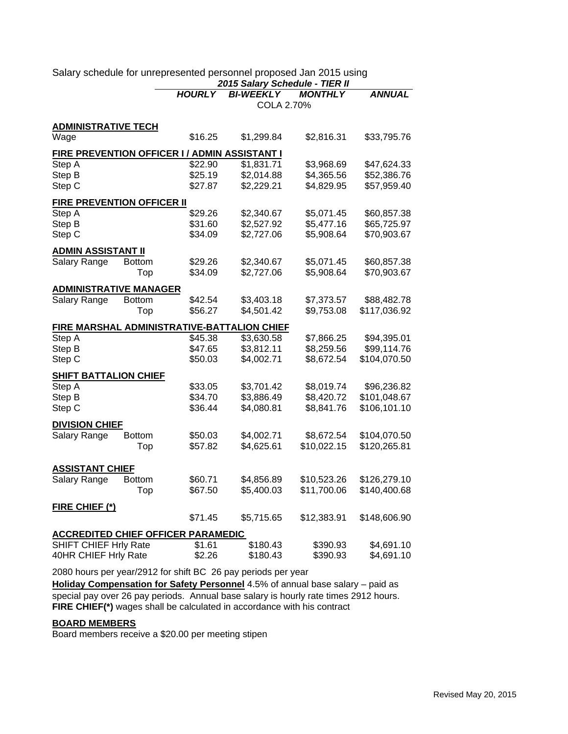|                                               |               | <b>HOURLY</b> | <b>BI-WEEKLY</b>                                   | <b>MONTHLY</b> | <b>ANNUAL</b> |
|-----------------------------------------------|---------------|---------------|----------------------------------------------------|----------------|---------------|
|                                               |               |               | COLA 2.70%                                         |                |               |
| <b>ADMINISTRATIVE TECH</b>                    |               |               |                                                    |                |               |
| Wage                                          |               | \$16.25       | \$1,299.84                                         | \$2,816.31     | \$33,795.76   |
| FIRE PREVENTION OFFICER I / ADMIN ASSISTANT I |               |               |                                                    |                |               |
| Step A                                        |               | \$22.90       | \$1,831.71                                         | \$3,968.69     | \$47,624.33   |
| Step B                                        |               | \$25.19       | \$2,014.88                                         | \$4,365.56     | \$52,386.76   |
| Step C                                        |               | \$27.87       | \$2,229.21                                         | \$4,829.95     | \$57,959.40   |
| FIRE PREVENTION OFFICER II                    |               |               |                                                    |                |               |
| Step A                                        |               | \$29.26       | \$2,340.67                                         | \$5,071.45     | \$60,857.38   |
| Step B                                        |               | \$31.60       | \$2,527.92                                         | \$5,477.16     | \$65,725.97   |
| Step C                                        |               | \$34.09       | \$2,727.06                                         | \$5,908.64     | \$70,903.67   |
| <b>ADMIN ASSISTANT II</b>                     |               |               |                                                    |                |               |
| Salary Range                                  | <b>Bottom</b> | \$29.26       | \$2,340.67                                         | \$5,071.45     | \$60,857.38   |
|                                               | Top           | \$34.09       | \$2,727.06                                         | \$5,908.64     | \$70,903.67   |
| <b>ADMINISTRATIVE MANAGER</b>                 |               |               |                                                    |                |               |
| Salary Range                                  | <b>Bottom</b> | \$42.54       | \$3,403.18                                         | \$7,373.57     | \$88,482.78   |
|                                               | Top           | \$56.27       | \$4,501.42                                         | \$9,753.08     | \$117,036.92  |
|                                               |               |               | <b>FIRE MARSHAL ADMINISTRATIVE-BATTALION CHIEF</b> |                |               |
| Step A                                        |               | \$45.38       | \$3,630.58                                         | \$7,866.25     | \$94,395.01   |
| Step B                                        |               | \$47.65       | \$3,812.11                                         | \$8,259.56     | \$99,114.76   |
| Step C                                        |               | \$50.03       | \$4,002.71                                         | \$8,672.54     | \$104,070.50  |
| <b>SHIFT BATTALION CHIEF</b>                  |               |               |                                                    |                |               |
| Step A                                        |               | \$33.05       | \$3,701.42                                         | \$8,019.74     | \$96,236.82   |
| Step B                                        |               | \$34.70       | \$3,886.49                                         | \$8,420.72     | \$101,048.67  |
| Step C                                        |               | \$36.44       | \$4,080.81                                         | \$8,841.76     | \$106,101.10  |
| <b>DIVISION CHIEF</b>                         |               |               |                                                    |                |               |
| Salary Range                                  | <b>Bottom</b> | \$50.03       | \$4,002.71                                         | \$8,672.54     | \$104,070.50  |
|                                               | Top           | \$57.82       | \$4,625.61                                         | \$10,022.15    | \$120,265.81  |
| <b>ASSISTANT CHIEF</b>                        |               |               |                                                    |                |               |
| Salary Range                                  | <b>Bottom</b> | \$60.71       | \$4,856.89                                         | \$10,523.26    | \$126,279.10  |
|                                               | Top           | \$67.50       | \$5,400.03                                         | \$11,700.06    | \$140,400.68  |
| FIRE CHIEF (*)                                |               |               |                                                    |                |               |
|                                               |               | \$71.45       | \$5,715.65                                         | \$12,383.91    | \$148,606.90  |
| <b>ACCREDITED CHIEF OFFICER PARAMEDIC</b>     |               |               |                                                    |                |               |
| SHIFT CHIEF Hrly Rate                         |               | \$1.61        | \$180.43                                           | \$390.93       | \$4,691.10    |
| 40HR CHIEF Hrly Rate                          |               | \$2.26        | \$180.43                                           | \$390.93       | \$4,691.10    |

Salary schedule for unrepresented personnel proposed Jan 2015 using *2015 Salary Schedule - TIER II*

2080 hours per year/2912 for shift BC 26 pay periods per year

**FIRE CHIEF(\*)** wages shall be calculated in accordance with his contract **Holiday Compensation for Safety Personnel** 4.5% of annual base salary – paid as special pay over 26 pay periods. Annual base salary is hourly rate times 2912 hours.

## **BOARD MEMBERS**

Board members receive a \$20.00 per meeting stipen